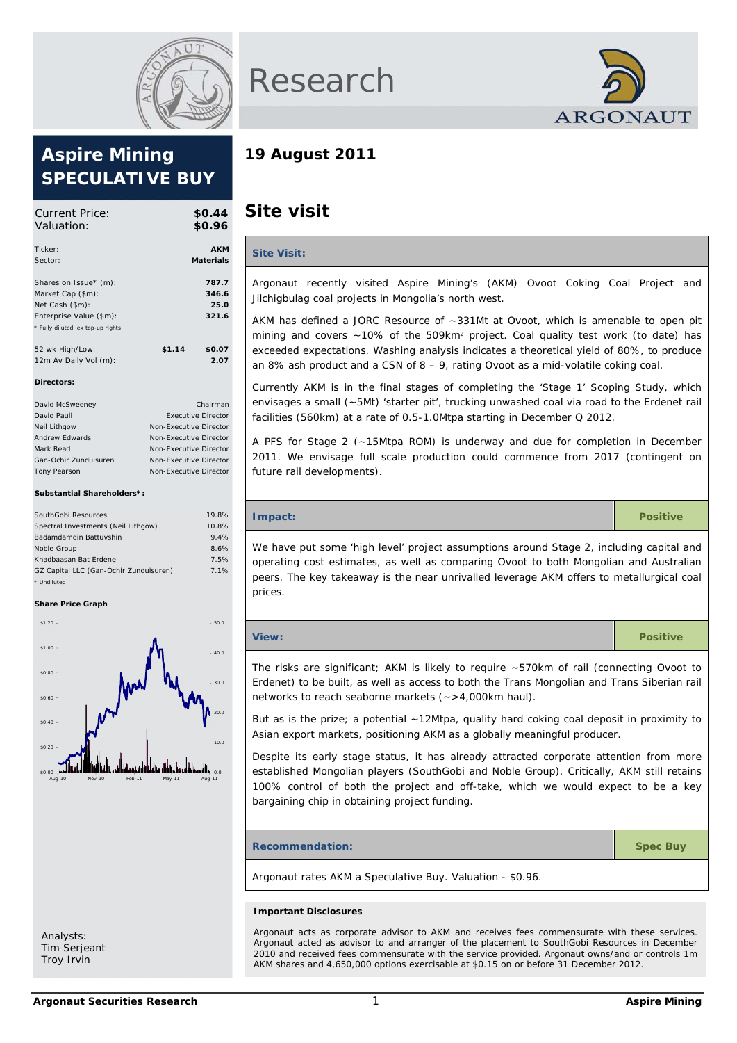

# **Aspire Mining SPECULATIVE BUY**

| Current Price:<br>Valuation:               |        | \$0.44<br>\$0.96               |
|--------------------------------------------|--------|--------------------------------|
| Ticker:<br>Sector:                         |        | <b>AKM</b><br><b>Materials</b> |
|                                            |        | 787.7                          |
| Shares on Issue* (m):<br>Market Cap (\$m): |        | 346.6                          |
| Net Cash (\$m):<br>Enterprise Value (\$m): |        | 25.0<br>321.6                  |
| * Fully diluted, ex top-up rights          |        |                                |
| 52 wk High/Low:                            | \$1.14 | \$0.07                         |
| 12m Av Daily Vol (m):                      |        | 2.07                           |
| Directors:                                 |        |                                |

| David McSweeney       | Chairman                  |
|-----------------------|---------------------------|
| David Paull           | <b>Executive Director</b> |
| Neil Lithgow          | Non-Executive Director    |
| Andrew Edwards        | Non-Executive Director    |
| Mark Read             | Non-Executive Director    |
| Gan-Ochir Zunduisuren | Non-Executive Director    |
| <b>Tony Pearson</b>   | Non-Executive Director    |

#### **Substantial Shareholders\*:**

| SouthGobi Resources                    | 19.8% |
|----------------------------------------|-------|
| Spectral Investments (Neil Lithgow)    | 10.8% |
| Badamdamdin Battuvshin                 | 9.4%  |
| Noble Group                            | 8.6%  |
| Khadbaasan Bat Erdene                  | 7.5%  |
| GZ Capital LLC (Gan-Ochir Zunduisuren) | 7.1%  |
| * Undiluted                            |       |

#### **Share Price Graph**



Analysts: Tim Serjeant Troy Irvin





# **19 August 2011**

# **Site visit**

# **Site Visit:** Argonaut recently visited Aspire Mining's (AKM) Ovoot Coking Coal Project and Jilchigbulag coal projects in Mongolia's north west. AKM has defined a JORC Resource of ~331Mt at Ovoot, which is amenable to open pit mining and covers ~10% of the 509km² project. Coal quality test work (to date) has exceeded expectations. Washing analysis indicates a theoretical yield of 80%, to produce an 8% ash product and a CSN of  $8 - 9$ , rating Ovoot as a mid-volatile coking coal. Currently AKM is in the final stages of completing the 'Stage 1' Scoping Study, which envisages a small (~5Mt) 'starter pit', trucking unwashed coal via road to the Erdenet rail facilities (560km) at a rate of 0.5-1.0Mtpa starting in December Q 2012. A PFS for Stage 2 (~15Mtpa ROM) is underway and due for completion in December 2011. We envisage full scale production could commence from 2017 (contingent on future rail developments). **Impact: Positive Positive Positive Positive Positive Positive** We have put some 'high level' project assumptions around Stage 2, including capital and operating cost estimates, as well as comparing Ovoot to both Mongolian and Australian peers. The key takeaway is the near unrivalled leverage AKM offers to metallurgical coal prices. **View: Positive** The risks are significant; AKM is likely to require ~570km of rail (connecting Ovoot to Erdenet) to be built, as well as access to both the Trans Mongolian and Trans Siberian rail networks to reach seaborne markets (~>4,000km haul). But as is the prize; a potential ~12Mtpa, quality hard coking coal deposit in proximity to Asian export markets, positioning AKM as a globally meaningful producer. Despite its early stage status, it has already attracted corporate attention from more established Mongolian players (SouthGobi and Noble Group). Critically, AKM still retains 100% control of both the project and off-take, which we would expect to be a key bargaining chip in obtaining project funding. **Recommendation:** Spec Buy

Argonaut rates AKM a Speculative Buy. Valuation - \$0.96.

#### **Important Disclosures**

Argonaut acts as corporate advisor to AKM and receives fees commensurate with these services. Argonaut acted as advisor to and arranger of the placement to SouthGobi Resources in December 2010 and received fees commensurate with the service provided. Argonaut owns/and or controls 1m AKM shares and 4,650,000 options exercisable at \$0.15 on or before 31 December 2012.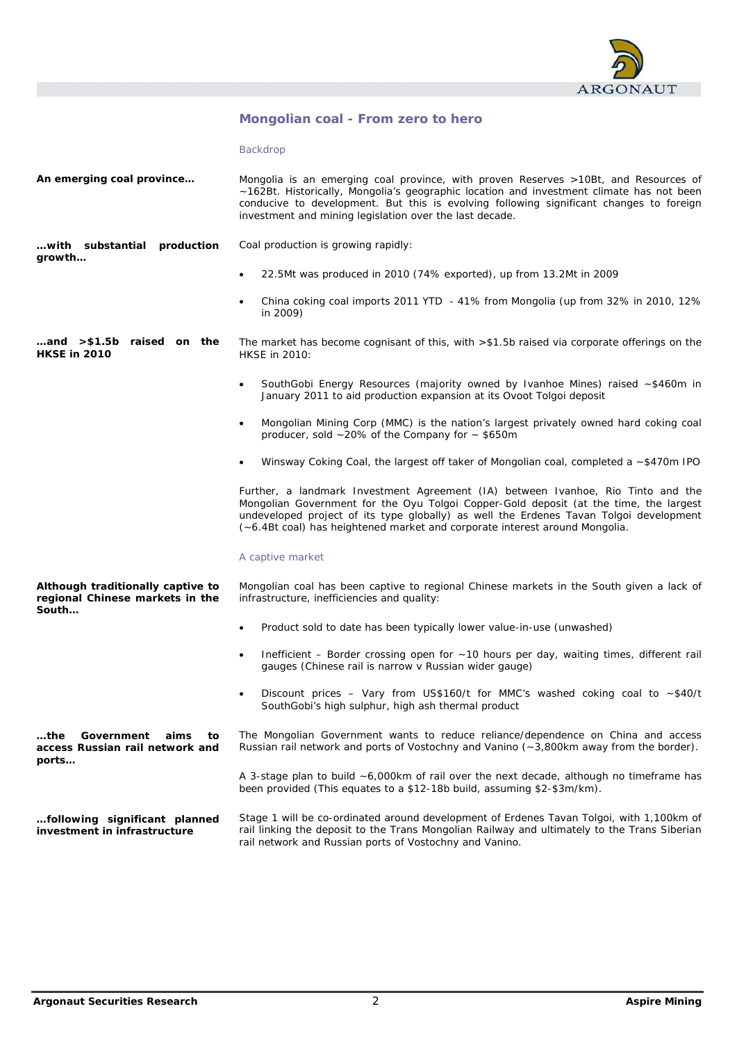

# **Mongolian coal - From zero to hero**

Backdrop

| An emerging coal province                                                      | Mongolia is an emerging coal province, with proven Reserves >10Bt, and Resources of<br>~162Bt. Historically, Mongolia's geographic location and investment climate has not been<br>conducive to development. But this is evolving following significant changes to foreign<br>investment and mining legislation over the last decade.              |  |  |  |  |  |
|--------------------------------------------------------------------------------|----------------------------------------------------------------------------------------------------------------------------------------------------------------------------------------------------------------------------------------------------------------------------------------------------------------------------------------------------|--|--|--|--|--|
| with substantial production<br>growth                                          | Coal production is growing rapidly:                                                                                                                                                                                                                                                                                                                |  |  |  |  |  |
|                                                                                | 22.5Mt was produced in 2010 (74% exported), up from 13.2Mt in 2009                                                                                                                                                                                                                                                                                 |  |  |  |  |  |
|                                                                                | China coking coal imports 2011 YTD - 41% from Mongolia (up from 32% in 2010, 12%<br>in 2009)                                                                                                                                                                                                                                                       |  |  |  |  |  |
| and >\$1.5b raised on the<br><b>HKSE in 2010</b>                               | The market has become cognisant of this, with $> $1.5b$ raised via corporate offerings on the<br>HKSE in 2010:                                                                                                                                                                                                                                     |  |  |  |  |  |
|                                                                                | SouthGobi Energy Resources (majority owned by Ivanhoe Mines) raised ~\$460m in<br>$\bullet$<br>January 2011 to aid production expansion at its Ovoot Tolgoi deposit                                                                                                                                                                                |  |  |  |  |  |
|                                                                                | Mongolian Mining Corp (MMC) is the nation's largest privately owned hard coking coal<br>$\bullet$<br>producer, sold $\sim$ 20% of the Company for $\sim$ \$650m                                                                                                                                                                                    |  |  |  |  |  |
|                                                                                | Winsway Coking Coal, the largest off taker of Mongolian coal, completed a ~\$470m IPO                                                                                                                                                                                                                                                              |  |  |  |  |  |
|                                                                                | Further, a landmark Investment Agreement (IA) between Ivanhoe, Rio Tinto and the<br>Mongolian Government for the Oyu Tolgoi Copper-Gold deposit (at the time, the largest<br>undeveloped project of its type globally) as well the Erdenes Tavan Tolgoi development<br>(~6.4Bt coal) has heightened market and corporate interest around Mongolia. |  |  |  |  |  |
|                                                                                | A captive market                                                                                                                                                                                                                                                                                                                                   |  |  |  |  |  |
| Although traditionally captive to<br>regional Chinese markets in the<br>South  | Mongolian coal has been captive to regional Chinese markets in the South given a lack of<br>infrastructure, inefficiencies and quality:                                                                                                                                                                                                            |  |  |  |  |  |
|                                                                                | Product sold to date has been typically lower value-in-use (unwashed)<br>$\bullet$                                                                                                                                                                                                                                                                 |  |  |  |  |  |
|                                                                                | Inefficient – Border crossing open for ~10 hours per day, waiting times, different rail<br>gauges (Chinese rail is narrow v Russian wider gauge)                                                                                                                                                                                                   |  |  |  |  |  |
|                                                                                | Discount prices - Vary from US\$160/t for MMC's washed coking coal to ~\$40/t<br>$\bullet$<br>SouthGobi's high sulphur, high ash thermal product                                                                                                                                                                                                   |  |  |  |  |  |
| Government<br>aims<br>$$ the<br>to<br>access Russian rail network and<br>ports | The Mongolian Government wants to reduce reliance/dependence on China and access<br>Russian rail network and ports of Vostochny and Vanino (~3,800km away from the border).                                                                                                                                                                        |  |  |  |  |  |
|                                                                                | A 3-stage plan to build $\sim$ 6,000km of rail over the next decade, although no time frame has<br>been provided (This equates to a \$12-18b build, assuming \$2-\$3m/km).                                                                                                                                                                         |  |  |  |  |  |
| following significant planned<br>investment in infrastructure                  | Stage 1 will be co-ordinated around development of Erdenes Tavan Tolgoi, with 1,100km of<br>rail linking the deposit to the Trans Mongolian Railway and ultimately to the Trans Siberian<br>rail network and Russian ports of Vostochny and Vanino.                                                                                                |  |  |  |  |  |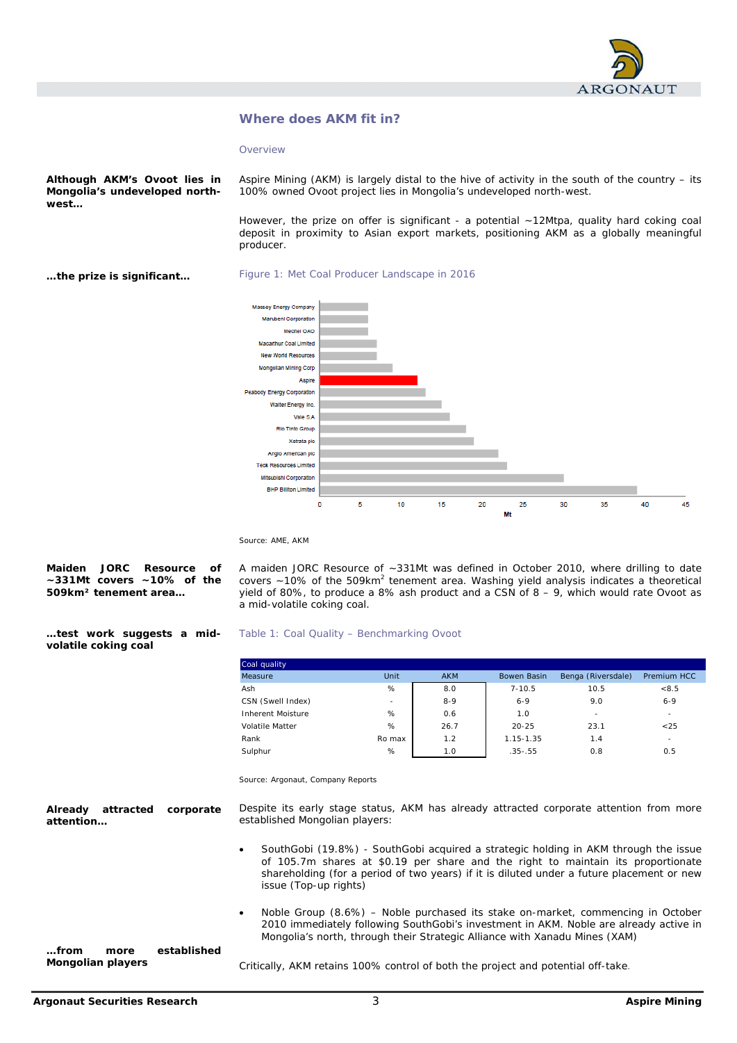

# **Where does AKM fit in?**

**Overview** 

**Although AKM's Ovoot lies in Mongolia's undeveloped northwest…** 

Aspire Mining (AKM) is largely distal to the hive of activity in the south of the country – its 100% owned Ovoot project lies in Mongolia's undeveloped north-west.

However, the prize on offer is significant - a potential ~12Mtpa, quality hard coking coal deposit in proximity to Asian export markets, positioning AKM as a globally meaningful producer.

**…the prize is significant…** 





Source: AME, AKM

|                                       |  |  | Maiden JORC Resource of |  |  |  |  |
|---------------------------------------|--|--|-------------------------|--|--|--|--|
| $\sim$ 331Mt covers $\sim$ 10% of the |  |  |                         |  |  |  |  |
| 509km <sup>2</sup> tenement area      |  |  |                         |  |  |  |  |

A maiden JORC Resource of ~331Mt was defined in October 2010, where drilling to date covers  $\sim$  10% of the 509km<sup>2</sup> tenement area. Washing yield analysis indicates a theoretical yield of 80%, to produce a 8% ash product and a CSN of  $8 - 9$ , which would rate Ovoot as a mid-volatile coking coal.

#### **…test work suggests a midvolatile coking coal**

| Coal quality      |        |            |             |                    |                    |
|-------------------|--------|------------|-------------|--------------------|--------------------|
| Measure           | Unit   | <b>AKM</b> | Bowen Basin | Benga (Riversdale) | <b>Premium HCC</b> |
| Ash               | %      | 8.0        | $7 - 10.5$  | 10.5               | < 8.5              |
| CSN (Swell Index) |        | $8 - 9$    | $6 - 9$     | 9.0                | $6 - 9$            |
| Inherent Moisture | %      | 0.6        | 1.0         | $\sim$             | ۰.                 |
| Volatile Matter   | %      | 26.7       | $20 - 25$   | 23.1               | < 25               |
| Rank              | Ro max | 1.2        | 1.15-1.35   | 1.4                | $\sim$             |
| Sulphur           | %      | 1.0        | $.35-.55$   | 0.8                | 0.5                |

Source: Argonaut, Company Reports

Despite its early stage status, AKM has already attracted corporate attention from more established Mongolian players: **Already attracted corporate attention…** 

Table 1: Coal Quality – Benchmarking Ovoot

- SouthGobi (19.8%) SouthGobi acquired a strategic holding in AKM through the issue of 105.7m shares at \$0.19 per share and the right to maintain its proportionate shareholding (for a period of two years) if it is diluted under a future placement or new issue (Top-up rights)
- Noble Group (8.6%) Noble purchased its stake on-market, commencing in October 2010 immediately following SouthGobi's investment in AKM. Noble are already active in Mongolia's north, through their Strategic Alliance with Xanadu Mines (XAM)

**…from more established Mongolian players** 

Critically, AKM retains 100% control of both the project and potential off-take.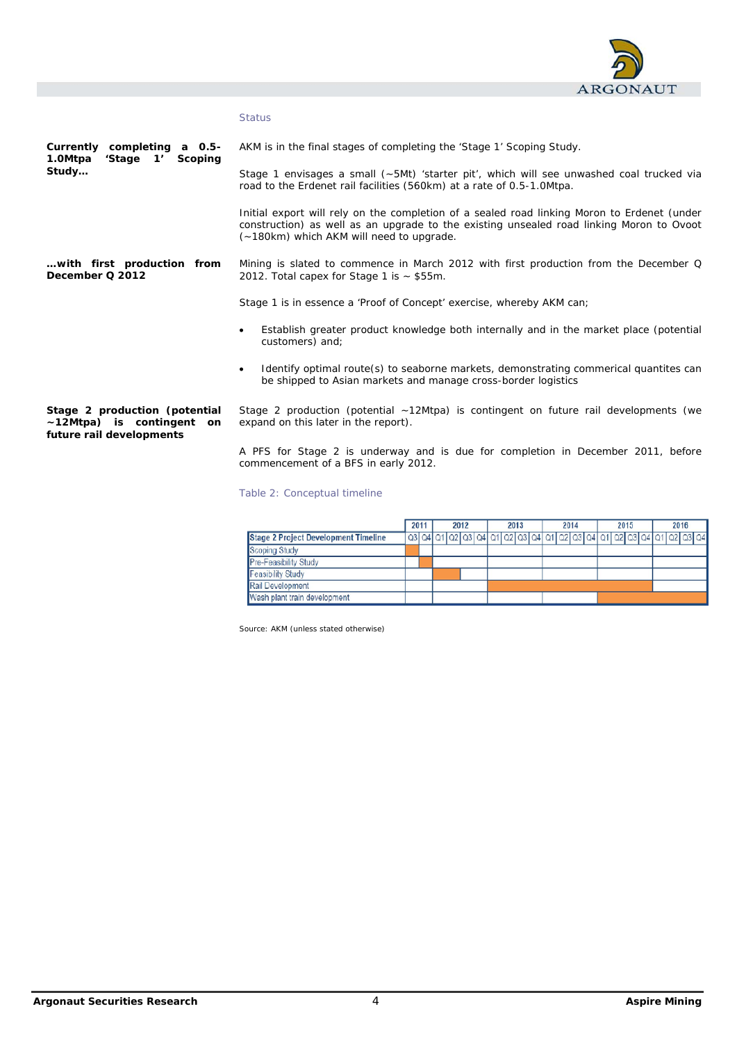

## **Status**

**Currently completing a 0.5- 1.0Mtpa 'Stage 1' Scoping Study…** 

AKM is in the final stages of completing the 'Stage 1' Scoping Study.

Stage 1 envisages a small (~5Mt) 'starter pit', which will see unwashed coal trucked via road to the Erdenet rail facilities (560km) at a rate of 0.5-1.0Mtpa.

Initial export will rely on the completion of a sealed road linking Moron to Erdenet (under construction) as well as an upgrade to the existing unsealed road linking Moron to Ovoot (~180km) which AKM will need to upgrade.

Mining is slated to commence in March 2012 with first production from the December Q 2012. Total capex for Stage 1 is  $\sim$  \$55m. **…with first production from December Q 2012** 

Stage 1 is in essence a 'Proof of Concept' exercise, whereby AKM can;

- Establish greater product knowledge both internally and in the market place (potential customers) and;
- Identify optimal route(s) to seaborne markets, demonstrating commerical quantites can be shipped to Asian markets and manage cross-border logistics

**Stage 2 production (potential ~12Mtpa) is contingent on future rail developments** 

Stage 2 production (potential ~12Mtpa) is contingent on future rail developments (we expand on this later in the report).

A PFS for Stage 2 is underway and is due for completion in December 2011, before commencement of a BFS in early 2012.

## Table 2: Conceptual timeline

|                                             | 2011<br>2012 |  | 2013 |  |  | 2014 |  |  |  | 2015 |  |  |  | 2016 |  |  |  |                                                                                                               |  |  |
|---------------------------------------------|--------------|--|------|--|--|------|--|--|--|------|--|--|--|------|--|--|--|---------------------------------------------------------------------------------------------------------------|--|--|
| <b>Stage 2 Project Development Timeline</b> |              |  |      |  |  |      |  |  |  |      |  |  |  |      |  |  |  | i a3 i a4 i a1 i a2 i a3 i a4 i a1 i a2 i a3 i a4 i a1 i a2 i a3 i a4 i a1 i a2 i a3 i a4 i a1 i a2 i a3 i a4 |  |  |
| Scoping Study                               |              |  |      |  |  |      |  |  |  |      |  |  |  |      |  |  |  |                                                                                                               |  |  |
| <b>Pre-Feasibility Study</b>                |              |  |      |  |  |      |  |  |  |      |  |  |  |      |  |  |  |                                                                                                               |  |  |
| <b>Feasibility Study</b>                    |              |  |      |  |  |      |  |  |  |      |  |  |  |      |  |  |  |                                                                                                               |  |  |
| Rail Development                            |              |  |      |  |  |      |  |  |  |      |  |  |  |      |  |  |  |                                                                                                               |  |  |
| Wash plant train development                |              |  |      |  |  |      |  |  |  |      |  |  |  |      |  |  |  |                                                                                                               |  |  |

Source: AKM (unless stated otherwise)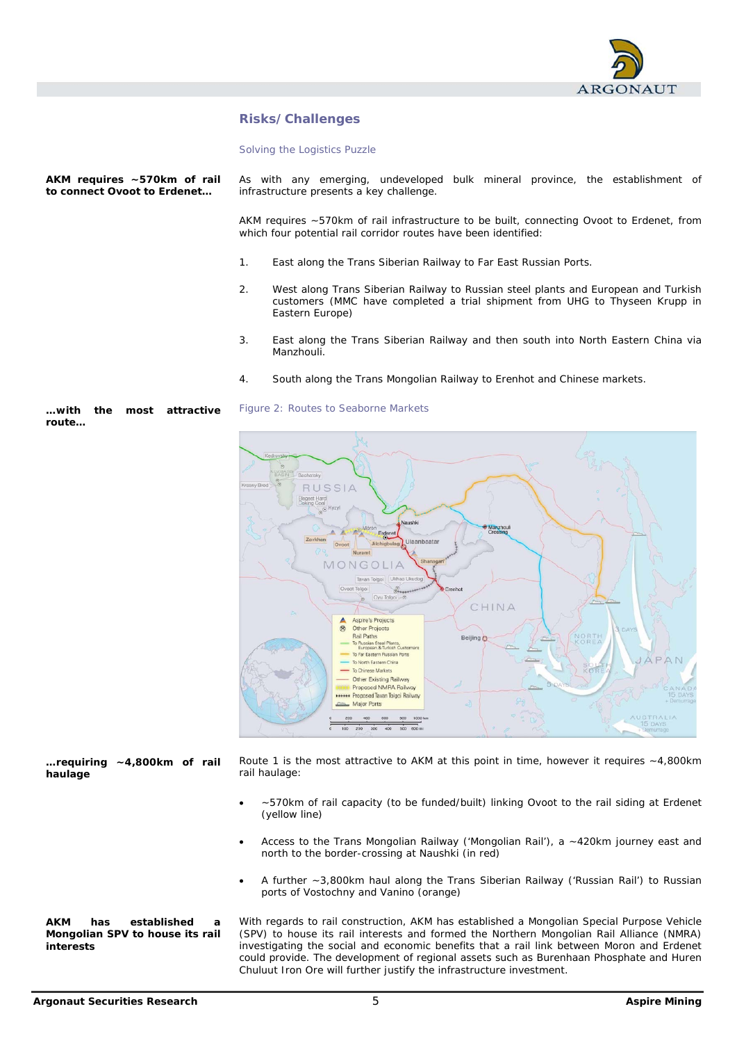

# **Risks/Challenges**

Solving the Logistics Puzzle

**AKM requires ~570km of rail to connect Ovoot to Erdenet…** 

As with any emerging, undeveloped bulk mineral province, the establishment of infrastructure presents a key challenge.

AKM requires ~570km of rail infrastructure to be built, connecting Ovoot to Erdenet, from which four potential rail corridor routes have been identified:

- 1. East along the Trans Siberian Railway to Far East Russian Ports.
- 2. West along Trans Siberian Railway to Russian steel plants and European and Turkish customers (MMC have completed a trial shipment from UHG to Thyseen Krupp in Eastern Europe)
- 3. East along the Trans Siberian Railway and then south into North Eastern China via Manzhouli.
- 4. South along the Trans Mongolian Railway to Erenhot and Chinese markets.



Figure 2: Routes to Seaborne Markets



Route 1 is the most attractive to AKM at this point in time, however it requires  $\sim$  4,800km rail haulage: **…requiring ~4,800km of rail haulage** 

- ~570km of rail capacity (to be funded/built) linking Ovoot to the rail siding at Erdenet (yellow line)
- Access to the Trans Mongolian Railway ('Mongolian Rail'), a ~420km journey east and north to the border-crossing at Naushki (in red)
- A further ~3,800km haul along the Trans Siberian Railway ('Russian Rail') to Russian ports of Vostochny and Vanino (orange)

**AKM has established a Mongolian SPV to house its rail interests** 

With regards to rail construction, AKM has established a Mongolian Special Purpose Vehicle (SPV) to house its rail interests and formed the Northern Mongolian Rail Alliance (NMRA) investigating the social and economic benefits that a rail link between Moron and Erdenet could provide. The development of regional assets such as Burenhaan Phosphate and Huren Chuluut Iron Ore will further justify the infrastructure investment.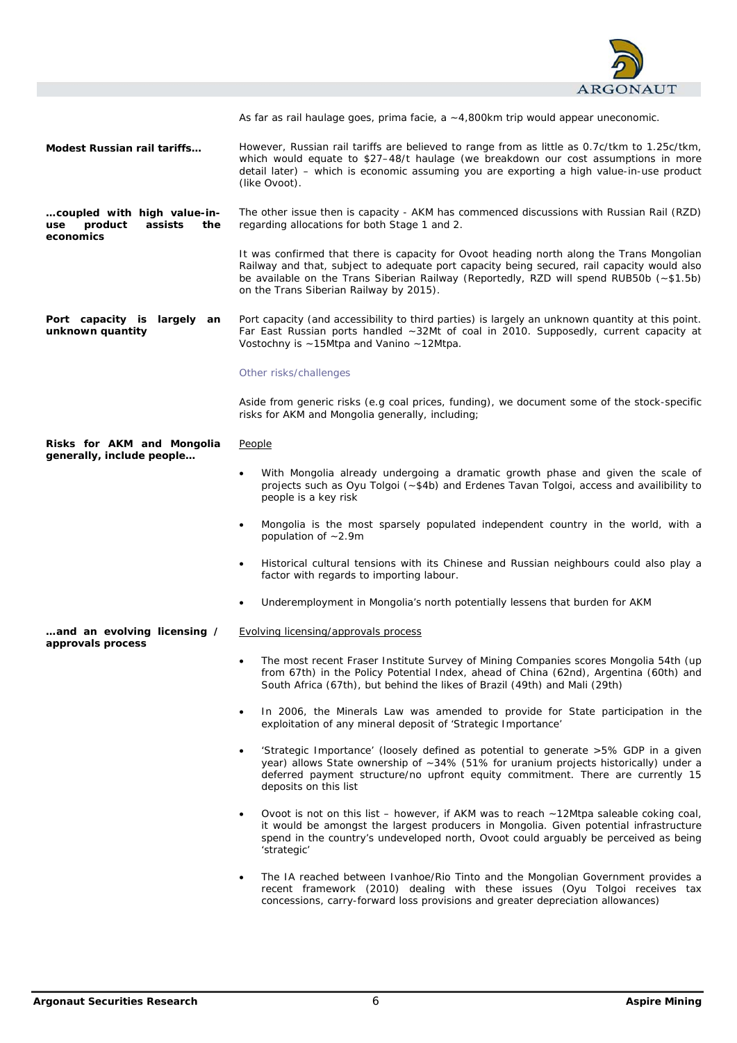

As far as rail haulage goes, *prima facie,* a ~4,800km trip would appear uneconomic.

However, Russian rail tariffs are believed to range from as little as 0.7c/tkm to 1.25c/tkm, which would equate to \$27–48/t haulage (we breakdown our cost assumptions in more detail later) – which is economic assuming you are exporting a high value-in-use product (like Ovoot). **Modest Russian rail tariffs…** 

The other issue then is capacity - AKM has commenced discussions with Russian Rail (RZD) regarding allocations for both Stage 1 and 2. **…coupled with high value-inuse product assists the economics** 

> It was confirmed that there is capacity for Ovoot heading north along the Trans Mongolian Railway and that, subject to adequate port capacity being secured, rail capacity would also be available on the Trans Siberian Railway (Reportedly, RZD will spend RUB50b (~\$1.5b) on the Trans Siberian Railway by 2015).

Port capacity (and accessibility to third parties) is largely an unknown quantity at this point. Far East Russian ports handled ~32Mt of coal in 2010. Supposedly, current capacity at Vostochny is ~15Mtpa and Vanino ~12Mtpa. **Port capacity is largely an unknown quantity** 

Other risks/challenges

Aside from generic risks (e.g coal prices, funding), we document some of the stock-specific risks for AKM and Mongolia generally, including;

People **Risks for AKM and Mongolia generally, include people…** 

- With Mongolia already undergoing a dramatic growth phase and given the scale of projects such as Oyu Tolgoi (~\$4b) and Erdenes Tavan Tolgoi, access and availibility to people is a key risk
- Mongolia is the most sparsely populated independent country in the world, with a population of ~2.9m
- Historical cultural tensions with its Chinese and Russian neighbours could also play a factor with regards to importing labour.
- Underemployment in Mongolia's north potentially lessens that burden for AKM

Evolving licensing/approvals process **…and an evolving licensing /** 

- The most recent Fraser Institute Survey of Mining Companies scores Mongolia 54th (up from 67th) in the Policy Potential Index, ahead of China (62nd), Argentina (60th) and South Africa (67th), but behind the likes of Brazil (49th) and Mali (29th)
- In 2006, the Minerals Law was amended to provide for State participation in the exploitation of any mineral deposit of 'Strategic Importance'
- 'Strategic Importance' (loosely defined as potential to generate >5% GDP in a given year) allows State ownership of ~34% (51% for uranium projects historically) under a deferred payment structure/no upfront equity commitment. There are currently 15 deposits on this list
- Ovoot is not on this list however, if AKM was to reach ~12Mtpa saleable coking coal, it would be amongst the largest producers in Mongolia. Given potential infrastructure spend in the country's undeveloped north, Ovoot could arguably be perceived as being 'strategic'
- The IA reached between Ivanhoe/Rio Tinto and the Mongolian Government provides a recent framework (2010) dealing with these issues (Oyu Tolgoi receives tax concessions, carry-forward loss provisions and greater depreciation allowances)

**approvals process**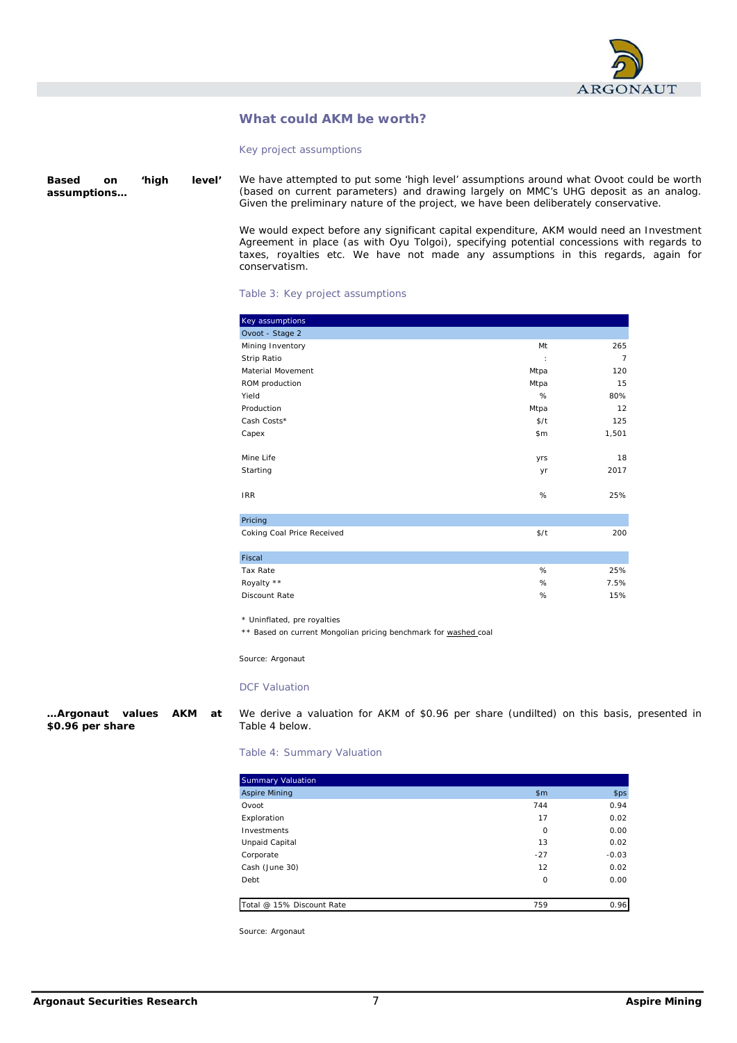

# **What could AKM be worth?**

Key project assumptions

We have attempted to put some 'high level' assumptions around what Ovoot could be worth (based on current parameters) and drawing largely on MMC's UHG deposit as an analog. Given the preliminary nature of the project, we have been deliberately conservative. **Based on 'high level' assumptions…** 

> We would expect before any significant capital expenditure, AKM would need an Investment Agreement in place (as with Oyu Tolgoi), specifying potential concessions with regards to taxes, royalties etc. We have not made any assumptions in this regards, again for conservatism.

#### Table 3: Key project assumptions

| Key assumptions            |      |                |
|----------------------------|------|----------------|
| Ovoot - Stage 2            |      |                |
| Mining Inventory           | Mt   | 265            |
| Strip Ratio                | ÷    | $\overline{7}$ |
| Material Movement          | Mtpa | 120            |
| ROM production             | Mtpa | 15             |
| Yield                      | %    | 80%            |
| Production                 | Mtpa | 12             |
| Cash Costs*                | \$/t | 125            |
| Capex                      | \$m  | 1,501          |
| Mine Life                  | yrs  | 18             |
| Starting                   | yr   | 2017           |
| <b>IRR</b>                 | $\%$ | 25%            |
| Pricing                    |      |                |
| Coking Coal Price Received | \$/t | 200            |
| Fiscal                     |      |                |
| Tax Rate                   | %    | 25%            |
| Royalty **                 | $\%$ | 7.5%           |
| Discount Rate              | %    | 15%            |

\* Uninflated, pre royalties

\*\* Based on current Mongolian pricing benchmark for washed coal

Source: Argonaut

#### DCF Valuation

**…Argonaut values AKM at \$0.96 per share** 

We derive a valuation for AKM of \$0.96 per share (undilted) on this basis, presented in Table 4 below.

Table 4: Summary Valuation

| <b>Summary Valuation</b>  |         |         |
|---------------------------|---------|---------|
| <b>Aspire Mining</b>      | \$m\$   | \$ps    |
| Ovoot                     | 744     | 0.94    |
| Exploration               | 17      | 0.02    |
| Investments               | $\circ$ | 0.00    |
| Unpaid Capital            | 13      | 0.02    |
| Corporate                 | $-27$   | $-0.03$ |
| Cash (June 30)            | 12      | 0.02    |
| Debt                      | $\circ$ | 0.00    |
|                           |         |         |
| Total @ 15% Discount Rate | 759     | 0.96    |

Source: Argonaut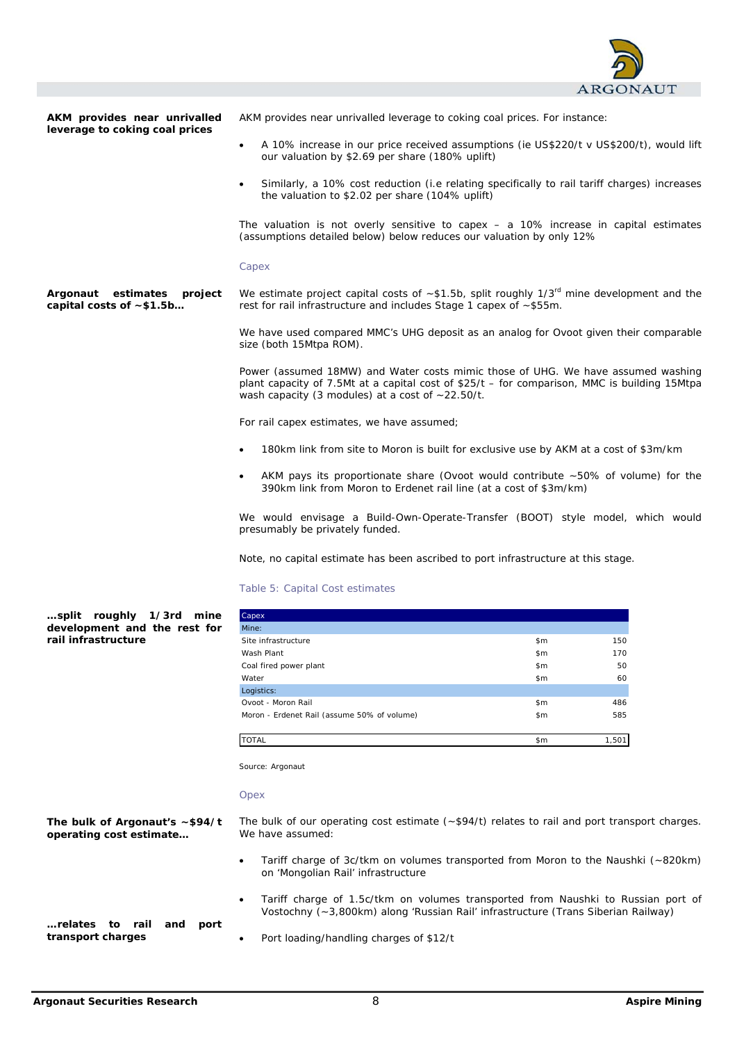

**AKM provides near unrivalled leverage to coking coal prices** 

AKM provides near unrivalled leverage to coking coal prices. For instance:

- A 10% increase in our price received assumptions (ie US\$220/t v US\$200/t), would lift our valuation by \$2.69 per share (180% uplift)
- Similarly, a 10% cost reduction (i.e relating specifically to rail tariff charges) increases the valuation to \$2.02 per share (104% uplift)

The valuation is not overly sensitive to capex – a 10% increase in capital estimates (assumptions detailed below) below reduces our valuation by only 12%

#### Capex

We estimate project capital costs of  $~51.5$ b, split roughly  $1/3<sup>rd</sup>$  mine development and the rest for rail infrastructure and includes Stage 1 capex of ~\$55m. **Argonaut estimates project capital costs of ~\$1.5b…** 

> We have used compared MMC's UHG deposit as an analog for Ovoot given their comparable size (both 15Mtpa ROM).

> Power (assumed 18MW) and Water costs mimic those of UHG. We have assumed washing plant capacity of 7.5Mt at a capital cost of \$25/t – for comparison, MMC is building 15Mtpa wash capacity (3 modules) at a cost of ~22.50/t.

For rail capex estimates, we have assumed;

- 180km link from site to Moron is built for exclusive use by AKM at a cost of \$3m/km
- AKM pays its proportionate share (Ovoot would contribute ~50% of volume) for the 390km link from Moron to Erdenet rail line (at a cost of \$3m/km)

We would envisage a Build-Own-Operate-Transfer (BOOT) style model, which would presumably be privately funded.

Note, no capital estimate has been ascribed to port infrastructure at this stage.

### Table 5: Capital Cost estimates

| split roughly 1/3rd mine     |  |  |  |
|------------------------------|--|--|--|
| development and the rest for |  |  |  |
| rail infrastructure          |  |  |  |

| Capex                                       |               |       |
|---------------------------------------------|---------------|-------|
| Mine:                                       |               |       |
| Site infrastructure                         | \$m\$         | 150   |
| Wash Plant                                  | \$m\$         | 170   |
| Coal fired power plant                      | \$m\$         | 50    |
| Water                                       | \$m\$         | 60    |
| Logistics:                                  |               |       |
| Ovoot - Moron Rail                          | $\mathsf{sm}$ | 486   |
| Moron - Erdenet Rail (assume 50% of volume) | \$m\$         | 585   |
|                                             |               |       |
| <b>TOTAL</b>                                | \$m           | 1.501 |

Source: Argonaut

#### Opex

**The bulk of Argonaut's ~\$94/t operating cost estimate…** 

The bulk of our operating cost estimate (~\$94/t) relates to rail and port transport charges. We have assumed:

- Tariff charge of 3c/tkm on volumes transported from Moron to the Naushki (~820km) on 'Mongolian Rail' infrastructure
- Tariff charge of 1.5c/tkm on volumes transported from Naushki to Russian port of Vostochny (~3,800km) along 'Russian Rail' infrastructure (Trans Siberian Railway)

**…relates to rail and port transport charges** 

Port loading/handling charges of \$12/t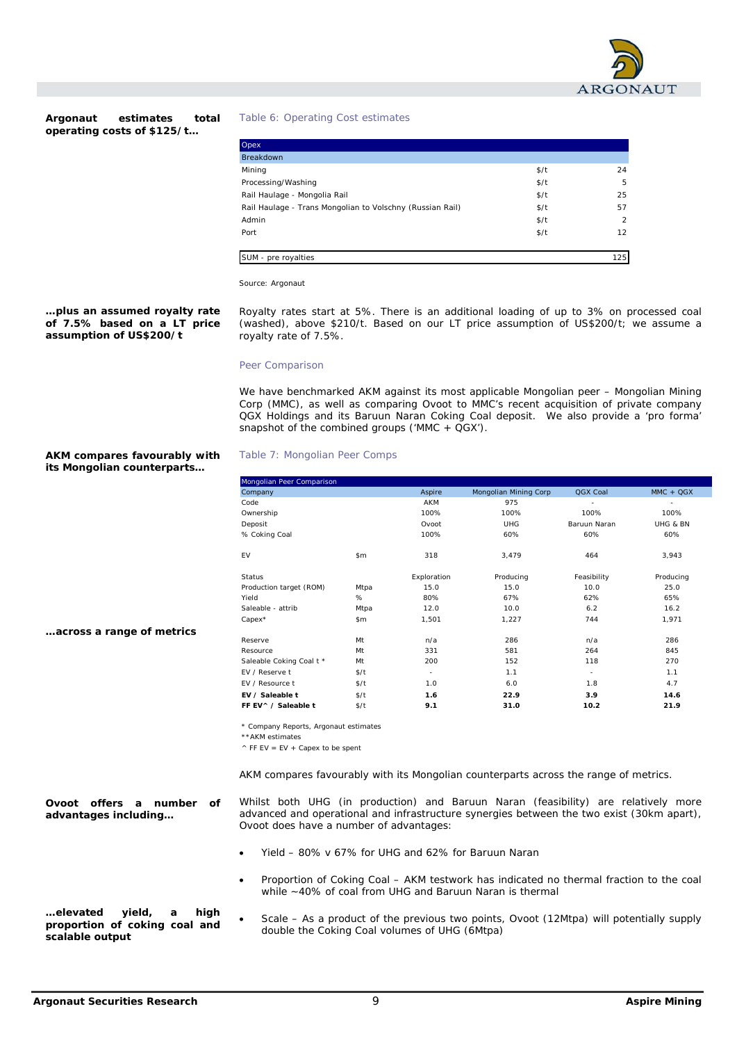

**Argonaut estimates total operating costs of \$125/t…** 

Table 6: Operating Cost estimates

| Opex                                                      |      |               |
|-----------------------------------------------------------|------|---------------|
| <b>Breakdown</b>                                          |      |               |
| Mining                                                    | \$/t | 24            |
| Processing/Washing                                        | \$/t | 5             |
| Rail Haulage - Mongolia Rail                              | \$/t | 25            |
| Rail Haulage - Trans Mongolian to Volschny (Russian Rail) | \$/t | 57            |
| Admin                                                     | \$/t | $\mathcal{P}$ |
| Port                                                      | \$/t | 12            |
|                                                           |      |               |
| SUM - pre royalties                                       |      | 125           |

Source: Argonaut

### **…plus an assumed royalty rate of 7.5% based on a LT price assumption of US\$200/t**

Royalty rates start at 5%. There is an additional loading of up to 3% on processed coal (washed), above \$210/t. Based on our LT price assumption of US\$200/t; we assume a royalty rate of 7.5%.

## Peer Comparison

Table 7: Mongolian Peer Comps

We have benchmarked AKM against its most applicable Mongolian peer – Mongolian Mining Corp (MMC), as well as comparing Ovoot to MMC's recent acquisition of private company QGX Holdings and its Baruun Naran Coking Coal deposit. We also provide a 'pro forma' snapshot of the combined groups ('MMC +  $QGX'$ ).

## **AKM compares favourably with its Mongolian counterparts…**

**…across a range of metrics** 

| Company                  |       | Aspire      | Mongolian Mining Corp | QGX Coal                 | $MMC + QGX$ |
|--------------------------|-------|-------------|-----------------------|--------------------------|-------------|
| Code                     |       | <b>AKM</b>  | 975                   | $\overline{a}$           |             |
| Ownership                |       | 100%        | 100%                  | 100%                     | 100%        |
| Deposit                  |       | Ovoot       | <b>UHG</b>            | Baruun Naran             | UHG & BN    |
| % Coking Coal            |       | 100%        | 60%                   | 60%                      | 60%         |
| EV                       | \$m\$ | 318         | 3,479                 | 464                      | 3,943       |
| Status                   |       | Exploration | Producing             | Feasibility              | Producing   |
| Production target (ROM)  | Mtpa  | 15.0        | 15.0                  | 10.0                     | 25.0        |
| Yield                    | %     | 80%         | 67%                   | 62%                      | 65%         |
| Saleable - attrib        | Mtpa  | 12.0        | 10.0                  | 6.2                      | 16.2        |
| Capex*                   | \$m\$ | 1,501       | 1,227                 | 744                      | 1,971       |
| Reserve                  | Mt    | n/a         | 286                   | n/a                      | 286         |
| Resource                 | Mt    | 331         | 581                   | 264                      | 845         |
| Saleable Coking Coal t * | Mt    | 200         | 152                   | 118                      | 270         |
| FV / Reserve t           | \$/t  | $\sim$      | 1.1                   | $\overline{\phantom{a}}$ | 1.1         |
| EV / Resource t          | \$/t  | 1.0         | 6.0                   | 1.8                      | 4.7         |
| EV / Saleable t          | \$/t  | 1.6         | 22.9                  | 3.9                      | 14.6        |
| FF EV ^ / Saleable t     | \$/t  | 9.1         | 31.0                  | 10.2                     | 21.9        |

\* Company Reports, Argonaut estimates

\*\*AKM estimates

 $\wedge$  FF EV = EV + Capex to be spent

AKM compares favourably with its Mongolian counterparts across the range of metrics.

**Ovoot offers a number of advantages including…** 

Whilst both UHG (in production) and Baruun Naran (feasibility) are relatively more advanced and operational and infrastructure synergies between the two exist (30km apart), Ovoot does have a number of advantages:

- Yield 80% v 67% for UHG and 62% for Baruun Naran
- Proportion of Coking Coal AKM testwork has indicated no thermal fraction to the coal while ~40% of coal from UHG and Baruun Naran is thermal
- Scale As a product of the previous two points, Ovoot (12Mtpa) will potentially supply double the Coking Coal volumes of UHG (6Mtpa) **…elevated yield, a high proportion of coking coal and scalable output**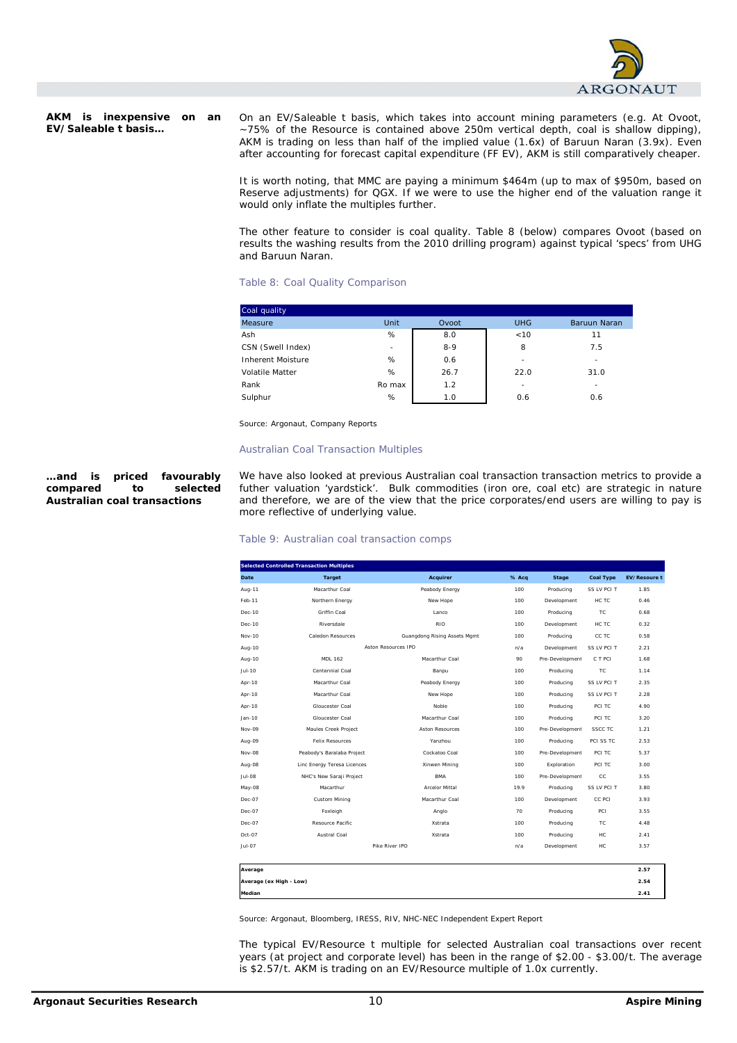

**AKM is inexpensive on an EV/Saleable t basis…** 

On an EV/Saleable t basis, which takes into account mining parameters (e.g. At Ovoot, ~75% of the Resource is contained above 250m vertical depth, coal is shallow dipping), AKM is trading on less than half of the implied value (1.6x) of Baruun Naran (3.9x). Even after accounting for forecast capital expenditure (FF EV), AKM is still comparatively cheaper.

It is worth noting, that MMC are paying a minimum \$464m (up to max of \$950m, based on Reserve adjustments) for QGX. If we were to use the higher end of the valuation range it would only inflate the multiples further.

The other feature to consider is coal quality. Table 8 (below) compares Ovoot (based on results the washing results from the 2010 drilling program) against typical 'specs' from UHG and Baruun Naran.

# Table 8: Coal Quality Comparison

| Coal quality      |        |         |            |                          |
|-------------------|--------|---------|------------|--------------------------|
| Measure           | Unit   | Ovoot   | <b>UHG</b> | Baruun Naran             |
| Ash               | %      | 8.0     | < 10       | 11                       |
| CSN (Swell Index) | $\sim$ | $8 - 9$ | 8          | 7.5                      |
| Inherent Moisture | %      | 0.6     | $\sim$     | ۰                        |
| Volatile Matter   | %      | 26.7    | 22.0       | 31.0                     |
| Rank              | Ro max | 1.2     | ٠          | $\overline{\phantom{a}}$ |
| Sulphur           | %      | 1.0     | 0.6        | 0.6                      |

Source: Argonaut, Company Reports

#### Australian Coal Transaction Multiples

### **…and is priced favourably compared to selected Australian coal transactions**

We have also looked at previous Australian coal transaction transaction metrics to provide a futher valuation 'yardstick'. Bulk commodities (iron ore, coal etc) are strategic in nature and therefore, we are of the view that the price corporates/end users are willing to pay is more reflective of underlying value.

## Table 9: Australian coal transaction comps

|                         | <b>Selected Controlled Transaction Multiples</b> |                              |       |                 |                  |                     |
|-------------------------|--------------------------------------------------|------------------------------|-------|-----------------|------------------|---------------------|
| Date                    | <b>Target</b>                                    | Acquirer                     | % Acq | Stage           | <b>Coal Type</b> | <b>EV/Resoure t</b> |
| Aug-11                  | Macarthur Coal                                   | Peabody Energy               | 100   | Producing       | SS LV PCI T      | 1.85                |
| Feb-11                  | Northern Energy                                  | New Hope                     | 100   | Development     | HC TC            | 0.46                |
| Dec-10                  | Griffin Coal                                     | Lanco                        | 100   | Producing       | TC               | 0.68                |
| Dec-10                  | Riversdale                                       | <b>RIO</b>                   | 100   | Development     | HC TC            | 0.32                |
| <b>Nov-10</b>           | Caledon Resources                                | Guangdong Rising Assets Mgmt | 100   | Producing       | CC TC            | 0.58                |
| Aug-10                  |                                                  | Aston Resources IPO          | n/a   | Development     | SS LV PCI T      | 2.21                |
| Aug-10                  | <b>MDL 162</b>                                   | Macarthur Coal               | 90    | Pre-Development | C T PCI          | 1.68                |
| Jul-10                  | Centennial Coal                                  | Banpu                        | 100   | Producing       | TC.              | 1.14                |
| Apr-10                  | Macarthur Coal                                   | Peabody Energy               | 100   | Producing       | SS LV PCI T      | 2.35                |
| Apr-10                  | Macarthur Coal                                   | New Hope                     | 100   | Producing       | SS LV PCI T      | 2.28                |
| Apr-10                  | Gloucester Coal                                  | Noble                        | 100   | Producing       | PCI TC           | 4.90                |
| $Jan-10$                | Gloucester Coal                                  | Macarthur Coal               | 100   | Producing       | PCI TC           | 3.20                |
| Nov-09                  | Maules Creek Project                             | <b>Aston Resources</b>       | 100   | Pre-Development | <b>SSCC TC</b>   | 1.21                |
| Aug-09                  | <b>Felix Resources</b>                           | Yanzhou                      | 100   | Producing       | PCI SS TC        | 2.53                |
| Nov-08                  | Peabody's Baralaba Project                       | Cockatoo Coal                | 100   | Pre-Development | PCI TC           | 5.37                |
| Aug-08                  | Linc Energy Teresa Licences                      | Xinwen Mining                | 100   | Exploration     | PCI TC           | 3.00                |
| Jul-08                  | NHC's New Saraji Project                         | <b>BMA</b>                   | 100   | Pre-Development | CC               | 3.55                |
| May-08                  | Macarthur                                        | Arcelor Mittal               | 19.9  | Producing       | SS LV PCI T      | 3.80                |
| $Dec-07$                | Custom Mining                                    | Macarthur Coal               | 100   | Development     | CC PCI           | 3.93                |
| Dec-07                  | Foxleigh                                         | Anglo                        | 70    | Producing       | PCI              | 3.55                |
| $Dec-07$                | Resource Pacific                                 | Xstrata                      | 100   | Producing       | <b>TC</b>        | 4.48                |
| Oct-07                  | Austral Coal                                     | Xstrata                      | 100   | Producing       | HC               | 2.41                |
| $Jul-07$                |                                                  | Pike River IPO               | n/a   | Development     | HC.              | 3.57                |
| Average                 |                                                  |                              |       |                 |                  | 2.57                |
| Average (ex High - Low) |                                                  |                              |       |                 |                  | 2.54                |
| Median                  |                                                  |                              |       |                 |                  | 2.41                |

Source: Argonaut, Bloomberg, IRESS, RIV, NHC-NEC Independent Expert Report

The typical EV/Resource t multiple for selected Australian coal transactions over recent years (at project and corporate level) has been in the range of \$2.00 - \$3.00/t. The average is \$2.57/t. AKM is trading on an EV/Resource multiple of 1.0x currently.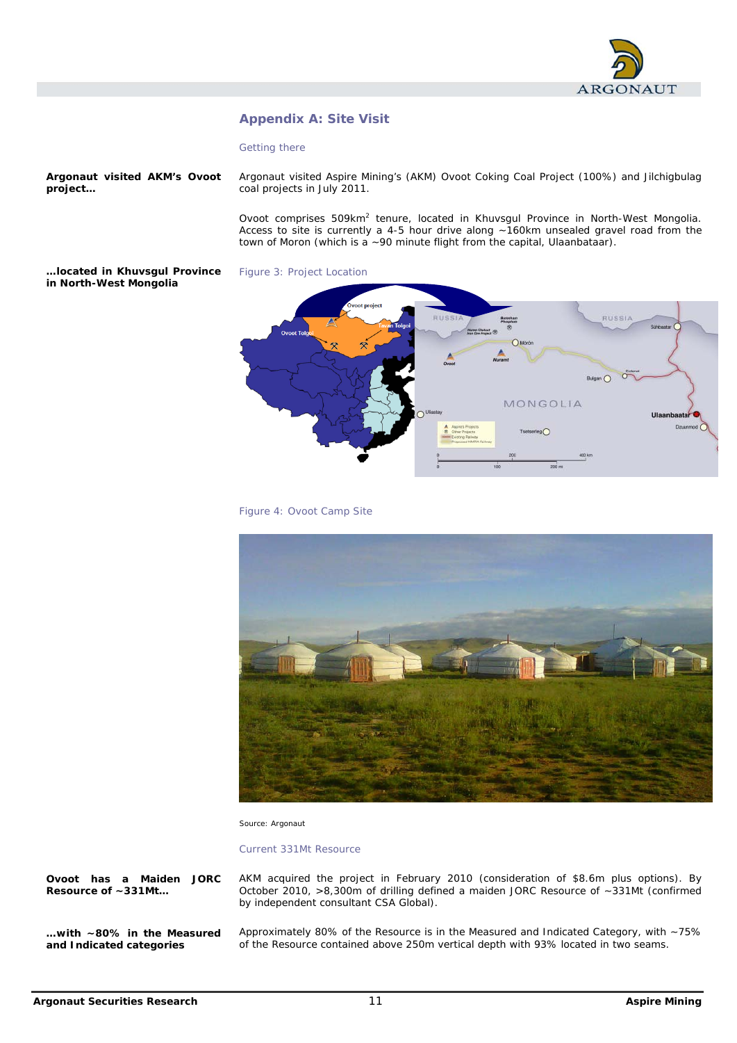

# **Appendix A: Site Visit**

### Getting there

**Argonaut visited AKM's Ovoot project…** 

Argonaut visited Aspire Mining's (AKM) Ovoot Coking Coal Project (100%) and Jilchigbulag coal projects in July 2011.

Ovoot comprises 509km<sup>2</sup> tenure, located in Khuvsgul Province in North-West Mongolia. Access to site is currently a 4-5 hour drive along ~160km unsealed gravel road from the town of Moron (which is a ~90 minute flight from the capital, Ulaanbataar).

**…located in Khuvsgul Province in North-West Mongolia** 









Source: Argonaut

Current 331Mt Resource

**Ovoot has a Maiden JORC Resource of ~331Mt…** 

**…with ~80% in the Measured and Indicated categories** 

AKM acquired the project in February 2010 (consideration of \$8.6m plus options). By October 2010, >8,300m of drilling defined a maiden JORC Resource of ~331Mt (confirmed by independent consultant CSA Global).

Approximately 80% of the Resource is in the Measured and Indicated Category, with ~75% of the Resource contained above 250m vertical depth with 93% located in two seams.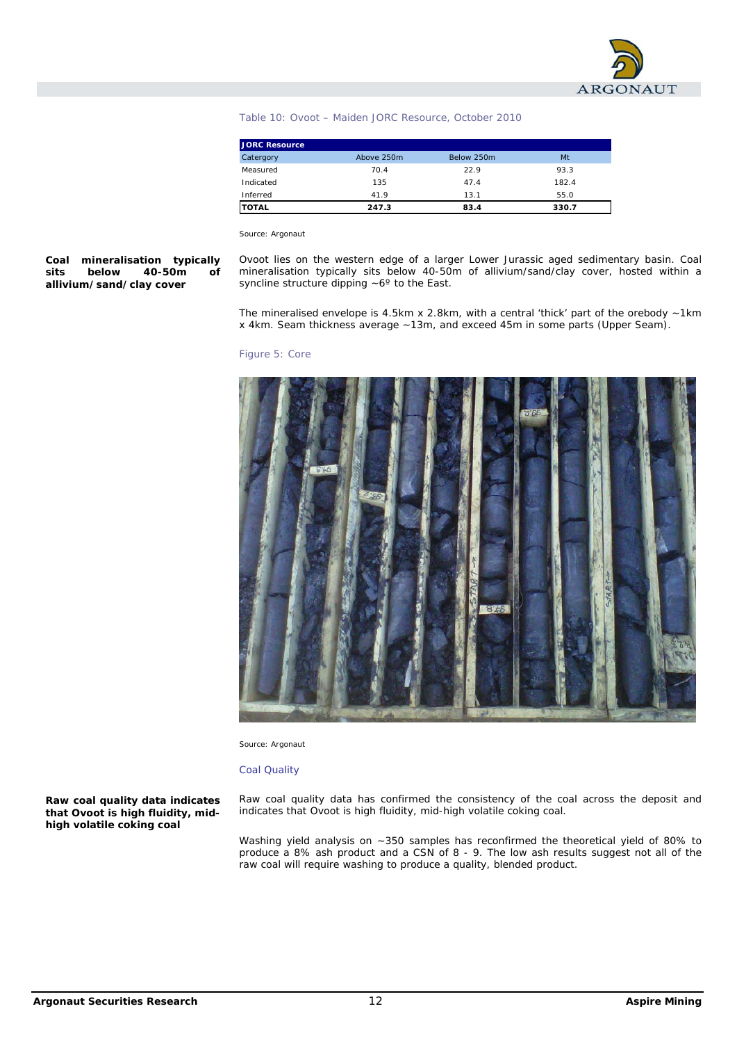

## Table 10: Ovoot – Maiden JORC Resource, October 2010

| <b>JORC Resource</b> |            |            |       |
|----------------------|------------|------------|-------|
| Catergory            | Above 250m | Below 250m | Mt    |
| Measured             | 70.4       | 22.9       | 93.3  |
| Indicated            | 135        | 47.4       | 182.4 |
| Inferred             | 41.9       | 13.1       | 55.0  |
| <b>TOTAL</b>         | 247.3      | 83.4       | 330.7 |

Source: Argonaut

**Coal mineralisation typically sits below 40-50m of allivium/sand/clay cover** 

Ovoot lies on the western edge of a larger Lower Jurassic aged sedimentary basin. Coal mineralisation typically sits below 40-50m of allivium/sand/clay cover, hosted within a syncline structure dipping ~6º to the East.

The mineralised envelope is 4.5km x 2.8km, with a central 'thick' part of the orebody  $\sim$  1km x 4km. Seam thickness average ~13m, and exceed 45m in some parts (Upper Seam).

#### Figure 5: Core



Source: Argonaut

#### Coal Quality

**Raw coal quality data indicates that Ovoot is high fluidity, midhigh volatile coking coal** 

Raw coal quality data has confirmed the consistency of the coal across the deposit and indicates that Ovoot is high fluidity, mid-high volatile coking coal.

Washing yield analysis on ~350 samples has reconfirmed the theoretical yield of 80% to produce a 8% ash product and a CSN of 8 - 9. The low ash results suggest not all of the raw coal will require washing to produce a quality, blended product.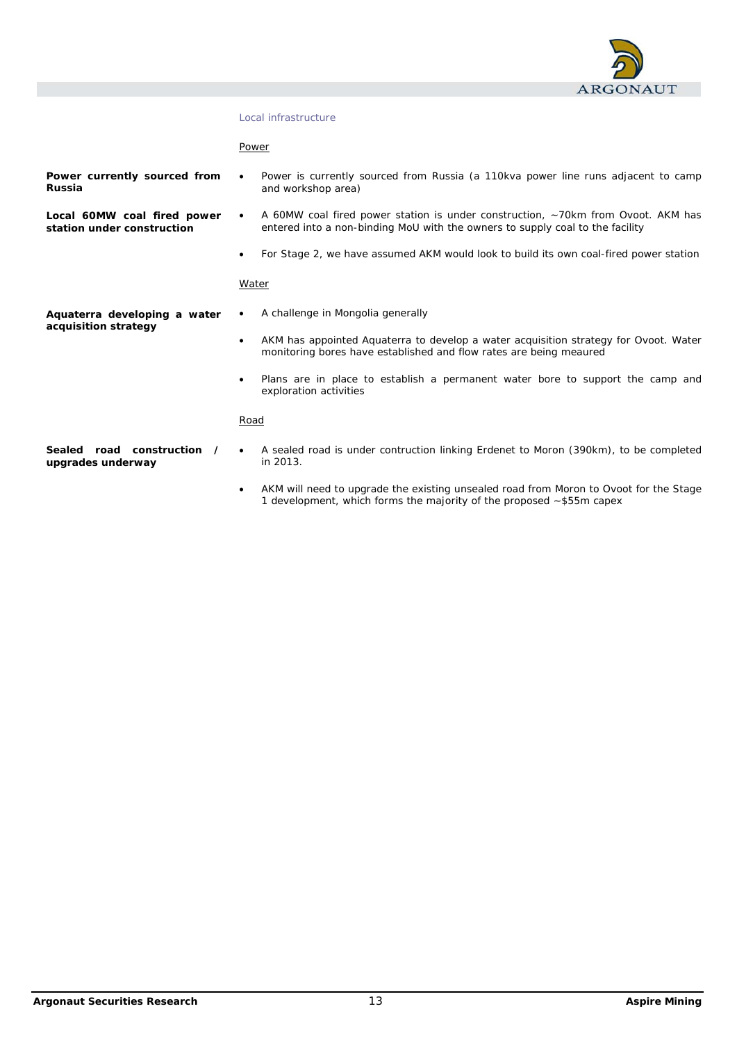

# Local infrastructure

Power

| Power currently sourced from<br>Russia                    | Power is currently sourced from Russia (a 110kva power line runs adjacent to camp<br>$\bullet$<br>and workshop area)                                                           |
|-----------------------------------------------------------|--------------------------------------------------------------------------------------------------------------------------------------------------------------------------------|
| Local 60MW coal fired power<br>station under construction | A 60MW coal fired power station is under construction, ~70km from Ovoot. AKM has<br>$\bullet$<br>entered into a non-binding MoU with the owners to supply coal to the facility |
|                                                           | For Stage 2, we have assumed AKM would look to build its own coal-fired power station<br>$\bullet$                                                                             |
|                                                           | Water                                                                                                                                                                          |
| Aquaterra developing a water                              | A challenge in Mongolia generally<br>٠                                                                                                                                         |
| acquisition strategy                                      | AKM has appointed Aquaterra to develop a water acquisition strategy for Ovoot. Water<br>$\bullet$<br>monitoring bores have established and flow rates are being meaured        |
|                                                           | Plans are in place to establish a permanent water bore to support the camp and<br>٠<br>exploration activities                                                                  |
|                                                           | Road                                                                                                                                                                           |
| road construction<br>Sealed<br>upgrades underway          | A sealed road is under contruction linking Erdenet to Moron (390km), to be completed<br>٠<br>in 2013.                                                                          |
|                                                           | AKM will need to upgrade the existing unsealed road from Moron to Ovoot for the Stage<br>$\bullet$<br>1 development, which forms the majority of the proposed ~\$55m capex     |
|                                                           |                                                                                                                                                                                |